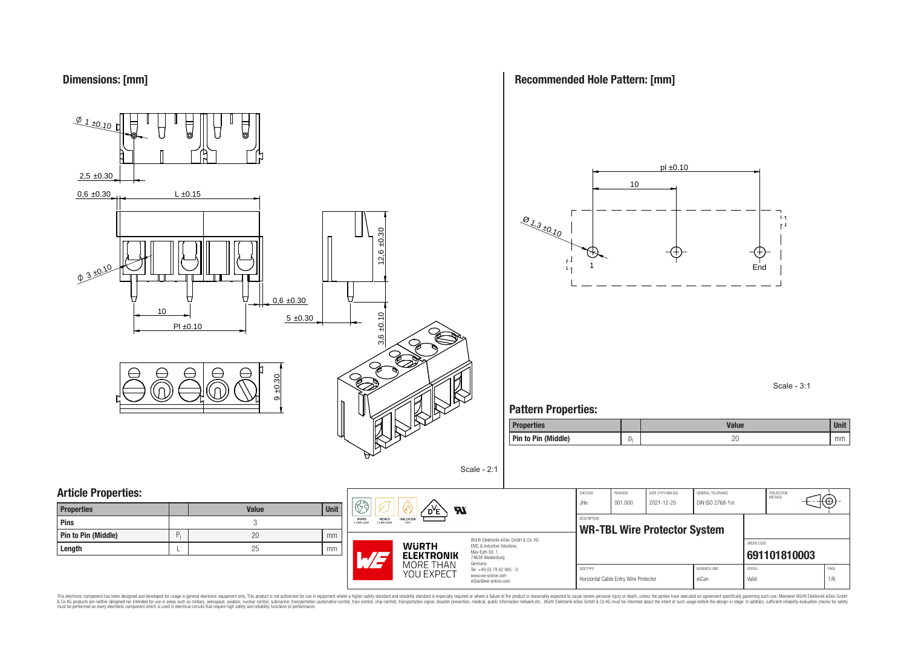

**Recommended Hole Pattern: [mm]**



Scale - 3:1

### **Pattern Properties:**

| <b>Properties</b>   |     | <b>Value</b> | <b>Unit</b> |
|---------------------|-----|--------------|-------------|
| Pin to Pin (Middle) | IJ. | nr<br>∠⊾     | mm          |

| <b>Properties</b>   |   | <b>Value</b> | Unit |
|---------------------|---|--------------|------|
| Pins                |   |              |      |
| Pin to Pin (Middle) | D | 20           | mm   |
| Length              |   | 25           | mm   |



Würth Elektronik eiSos GmbH & Co. KG EMC & Inductive Solutions Max-Eyth-Str. 1 74638 Waldenburg Germany Tel. +49 (0) 79 42 945 - 0 www.we-online.com

eiSos@we-online.com

Scale - 2:1

| ORDER CODE |  |  |  |
|------------|--|--|--|
|            |  |  |  |
|            |  |  |  |
| PAGE       |  |  |  |
| 1/6        |  |  |  |
|            |  |  |  |

This electronic component has been designed and developed for usage in general electronic equipment only. This product is not authorized for subserved requipment where a higher selection equipment where a higher selection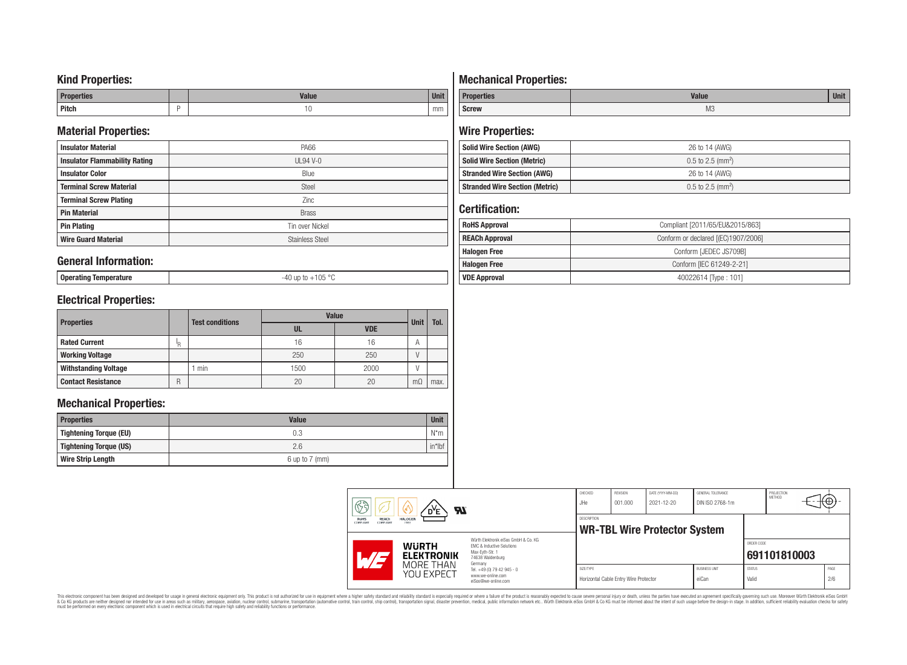### **Kind Properties:**

| <b>Properties</b> |   | <b>Moline</b><br>"dluc- | <b>Unit</b> |
|-------------------|---|-------------------------|-------------|
| <b>Pitch</b>      | - | טו                      | mm          |

### **Material Properties:**

| <b>Insulator Material</b>            | <b>PA66</b>            |  |
|--------------------------------------|------------------------|--|
| <b>Insulator Flammability Rating</b> | $UL94V-0$              |  |
| <b>Insulator Color</b>               | Blue                   |  |
| <b>Terminal Screw Material</b>       | <b>Steel</b>           |  |
| <b>Terminal Screw Plating</b>        | Zinc                   |  |
| <b>Pin Material</b>                  | <b>Brass</b>           |  |
| <b>Pin Plating</b>                   | Tin over Nickel        |  |
| <b>Wire Guard Material</b>           | <b>Stainless Steel</b> |  |

### **General Information:**

**Operating Temperature** -40 up to +105 °C

## **Electrical Properties:**

|                             |     | <b>Value</b>           |      |            | Tol.        |      |
|-----------------------------|-----|------------------------|------|------------|-------------|------|
| <b>Properties</b>           |     | <b>Test conditions</b> | UL   | <b>VDE</b> | <b>Unit</b> |      |
| <b>Rated Current</b>        | ΙŖ. |                        | 16   | 16         | A           |      |
| <b>Working Voltage</b>      |     |                        | 250  | 250        |             |      |
| <b>Withstanding Voltage</b> |     | min                    | 1500 | 2000       |             |      |
| <b>Contact Resistance</b>   | R   |                        | 20   | 20         | $m\Omega$   | max. |

### **Mechanical Properties:**

| <b>Properties</b>        | <b>Value</b>       |           |
|--------------------------|--------------------|-----------|
| Tightening Torque (EU)   | 0.3                | $N^*m$    |
| Tightening Torque (US)   | 2.6                | $in*$ Ibf |
| <b>Wire Strip Length</b> | $6$ up to $7$ (mm) |           |

# **Mechanical Properties:**

| <b>Properties</b> | <b>Value</b> |  |  |  |
|-------------------|--------------|--|--|--|
| <b>Screw</b>      | M3           |  |  |  |

# **Wire Properties:**

| <b>Solid Wire Section (AWG)</b>       | 26 to 14 (AWG)                  |  |  |  |
|---------------------------------------|---------------------------------|--|--|--|
| <b>Solid Wire Section (Metric)</b>    | $0.5$ to 2.5 (mm <sup>2</sup> ) |  |  |  |
| <b>Stranded Wire Section (AWG)</b>    | 26 to 14 (AWG)                  |  |  |  |
| <b>Stranded Wire Section (Metric)</b> | $0.5$ to 2.5 (mm <sup>2</sup> ) |  |  |  |

## **Certification:**

| <b>RoHS Approval</b>  | Compliant [2011/65/EU&2015/863]     |  |  |
|-----------------------|-------------------------------------|--|--|
| <b>REACh Approval</b> | Conform or declared [(EC)1907/2006] |  |  |
| <b>Halogen Free</b>   | Conform [JEDEC JS709B]              |  |  |
| <b>Halogen Free</b>   | Conform [IEC 61249-2-21]            |  |  |
| <b>VDE Approval</b>   | 40022614 Type: 101]                 |  |  |

| CHECKED<br><b>RA</b><br>JHe<br>$\boldsymbol{\mathcal{H}}$<br>D <sup>Y</sup> E |                                   |                                                                                                                     |             | REVISION<br>001.000                   | DATE (YYYY-MM-DD)<br>2021-12-20     | GENERAL TOLERANCE<br>DIN ISO 2768-1m |                        | PROJECTION<br>METHOD | ι€⊕;        |
|-------------------------------------------------------------------------------|-----------------------------------|---------------------------------------------------------------------------------------------------------------------|-------------|---------------------------------------|-------------------------------------|--------------------------------------|------------------------|----------------------|-------------|
| RoHS<br><b>HALOGEN</b><br><b>REACH</b><br>COMPLIANT<br>COMPLIANT<br>FREE      |                                   |                                                                                                                     | DESCRIPTION |                                       | <b>WR-TBL Wire Protector System</b> |                                      |                        |                      |             |
| 17/5                                                                          | <b>WURTH</b><br><b>ELEKTRONIK</b> | Würth Elektronik eiSos GmbH & Co. KG<br>EMC & Inductive Solutions<br>Max-Evth-Str. 1<br>74638 Waldenburg<br>Germany |             |                                       |                                     |                                      | ORDER CODE             | 691101810003         |             |
|                                                                               | MORE THAN<br>YOU EXPECT           | Tel. +49 (0) 79 42 945 - 0<br>www.we-online.com<br>eiSos@we-online.com                                              | SIZE/TYPE   | Horizontal Cable Entry Wire Protector |                                     | <b>BUSINESS UNIT</b><br>eiCan        | <b>STATUS</b><br>Valid |                      | PAGE<br>2/6 |

This electronic component has been designed and developed for usage in general electronic equipment only. This product is not authorized for subserved requipment where a higher selection equipment where a higher selection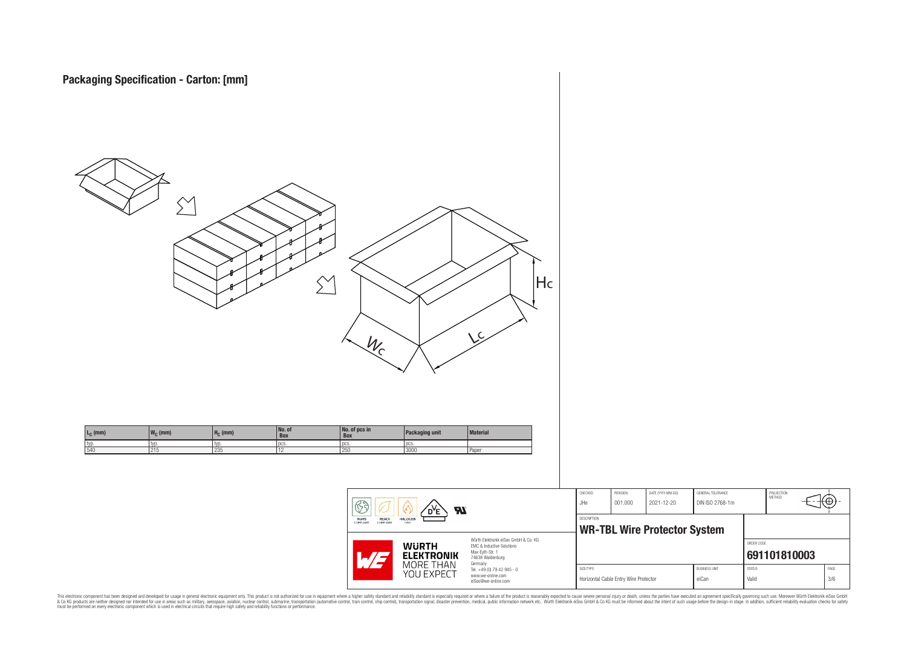

This electronic component has been designed and developed for usage in general electronic equipment only. This product is not authorized for subserved requipment where a higher selection equipment where a higher selection

PROJECTION<br>METHOD

ю

**[691101810003](https://www.we-online.com/catalog/en/article/691101810003)**

ORDER CODE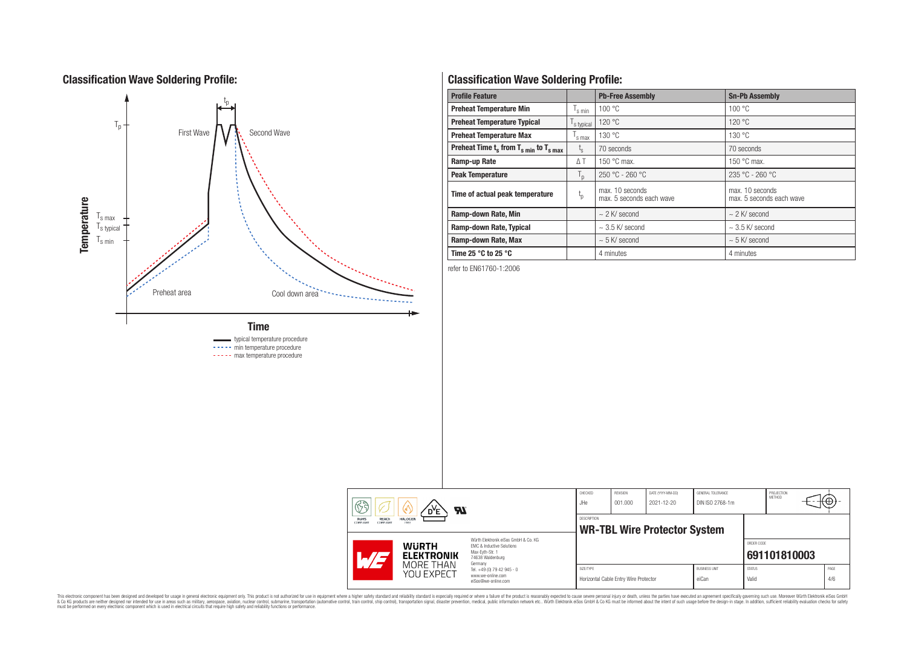## **Classification Wave Soldering Profile:**



----- min temperature procedure ----- max temperature procedure

## **Classification Wave Soldering Profile:**

| <b>Profile Feature</b>                             |                               | <b>Pb-Free Assembly</b>                     | <b>Sn-Pb Assembly</b>                       |  |
|----------------------------------------------------|-------------------------------|---------------------------------------------|---------------------------------------------|--|
| <b>Preheat Temperature Min</b>                     | $\mathsf{I}_{\mathsf{S}}$ min | 100 °C                                      | 100 °C                                      |  |
| <b>Preheat Temperature Typical</b>                 | s typical                     | 120 °C                                      | 120 °C                                      |  |
| <b>Preheat Temperature Max</b>                     | s max                         | 130 °C                                      | 130 °C                                      |  |
| Preheat Time $t_s$ from $T_{s,min}$ to $T_{s,max}$ | $L_{\rm S}$                   | 70 seconds                                  | 70 seconds                                  |  |
| Ramp-up Rate                                       | $\Delta T$                    | 150 $\degree$ C max.                        | 150 $\degree$ C max.                        |  |
| <b>Peak Temperature</b>                            | $T_{\rm p}$                   | $250 °C - 260 °C$                           | $235 °C - 260 °C$                           |  |
| Time of actual peak temperature                    | $t_{p}$                       | max. 10 seconds<br>max. 5 seconds each wave | max. 10 seconds<br>max. 5 seconds each wave |  |
| Ramp-down Rate, Min                                |                               | $\sim$ 2 K/ second                          | $\sim$ 2 K/ second                          |  |
| Ramp-down Rate, Typical                            |                               | $\sim$ 3.5 K/ second                        | $\sim$ 3.5 K/ second                        |  |
| Ramp-down Rate, Max                                |                               | $\sim$ 5 K/ second                          | $\sim$ 5 K/ second                          |  |
| Time 25 $^{\circ}$ C to 25 $^{\circ}$ C            |                               | 4 minutes                                   | 4 minutes                                   |  |

refer to EN61760-1:2006

| ୟ<br>$\boldsymbol{\mathcal{H}}$<br>D <sup>Y</sup> E |                                                                          |                                                              | CHECKED<br>JHe                                                                                                                                                                                | <b>REVISION</b><br>001.000 | DATE (YYYY-MM-DD)<br>2021-12-20       | GENERAL TOLERANCE<br>DIN ISO 2768-1m |                               | PROJECTION<br>METHOD   | ₩Ψ           |             |
|-----------------------------------------------------|--------------------------------------------------------------------------|--------------------------------------------------------------|-----------------------------------------------------------------------------------------------------------------------------------------------------------------------------------------------|----------------------------|---------------------------------------|--------------------------------------|-------------------------------|------------------------|--------------|-------------|
|                                                     | REACh<br><b>HALOGEN</b><br>RoHS<br><b>COMPLIANT</b><br>FREE<br>COMPLIANT |                                                              | <b>DESCRIPTION</b><br><b>WR-TBL Wire Protector System</b>                                                                                                                                     |                            |                                       |                                      |                               |                        |              |             |
|                                                     | $\mathcal{A}/\mathcal{A}$                                                | <b>WURTH</b><br><b>ELEKTRONIK</b><br>MORE THAN<br>YOU EXPECT | Würth Elektronik eiSos GmbH & Co. KG<br>EMC & Inductive Solutions<br>Max-Evth-Str. 1<br>74638 Waldenburg<br>Germany<br>Tel. +49 (0) 79 42 945 - 0<br>www.we-online.com<br>eiSos@we-online.com |                            |                                       |                                      |                               | ORDER CODE             | 691101810003 |             |
|                                                     |                                                                          |                                                              |                                                                                                                                                                                               | SIZE/TYPE                  | Horizontal Cable Entry Wire Protector |                                      | <b>BUSINESS UNIT</b><br>eiCan | <b>STATUS</b><br>Valid |              | PAGE<br>4/6 |

This electronic component has been designed and developed for usage in general electronic equipment only. This product is not authorized for subserved requipment where a higher selection equipment where a higher selection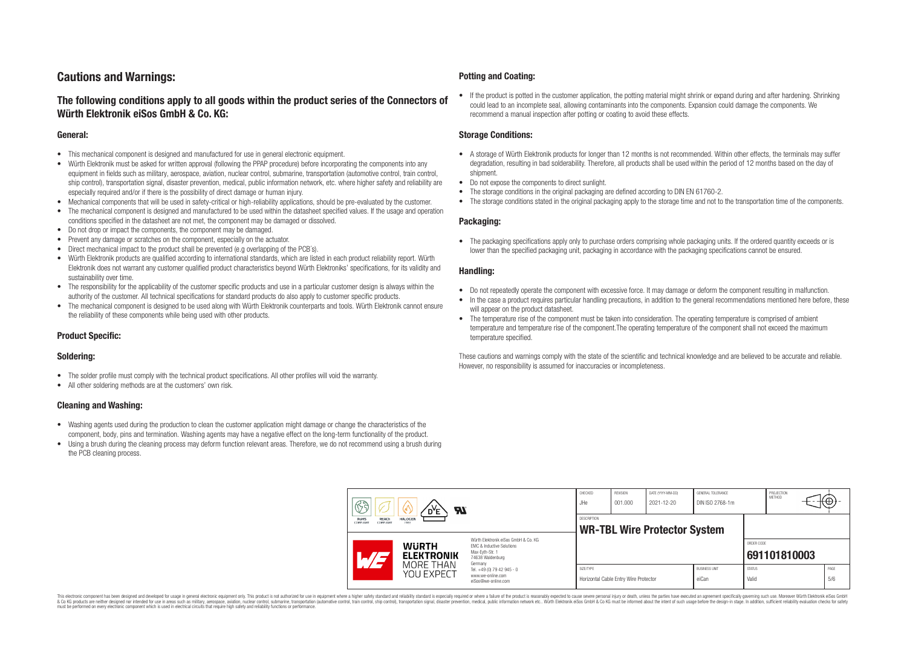## **Cautions and Warnings:**

### **The following conditions apply to all goods within the product series of the Connectors of Würth Elektronik eiSos GmbH & Co. KG:**

#### **General:**

- This mechanical component is designed and manufactured for use in general electronic equipment.
- Würth Elektronik must be asked for written approval (following the PPAP procedure) before incorporating the components into any equipment in fields such as military, aerospace, aviation, nuclear control, submarine, transportation (automotive control, train control, ship control), transportation signal, disaster prevention, medical, public information network, etc. where higher safety and reliability are especially required and/or if there is the possibility of direct damage or human injury.
- Mechanical components that will be used in safety-critical or high-reliability applications, should be pre-evaluated by the customer.
- The mechanical component is designed and manufactured to be used within the datasheet specified values. If the usage and operation conditions specified in the datasheet are not met, the component may be damaged or dissolved.
- Do not drop or impact the components, the component may be damaged.
- Prevent any damage or scratches on the component, especially on the actuator.
- Direct mechanical impact to the product shall be prevented (e.g overlapping of the PCB's).
- Würth Elektronik products are qualified according to international standards, which are listed in each product reliability report. Würth Elektronik does not warrant any customer qualified product characteristics beyond Würth Elektroniks' specifications, for its validity and sustainability over time.
- The responsibility for the applicability of the customer specific products and use in a particular customer design is always within the authority of the customer. All technical specifications for standard products do also apply to customer specific products.
- The mechanical component is designed to be used along with Würth Elektronik counterparts and tools. Würth Elektronik cannot ensure the reliability of these components while being used with other products.

#### **Product Specific:**

#### **Soldering:**

- The solder profile must comply with the technical product specifications. All other profiles will void the warranty.
- All other soldering methods are at the customers' own risk.

#### **Cleaning and Washing:**

- Washing agents used during the production to clean the customer application might damage or change the characteristics of the component, body, pins and termination. Washing agents may have a negative effect on the long-term functionality of the product.
- Using a brush during the cleaning process may deform function relevant areas. Therefore, we do not recommend using a brush during the PCB cleaning process.

#### **Potting and Coating:**

• If the product is potted in the customer application, the potting material might shrink or expand during and after hardening. Shrinking could lead to an incomplete seal, allowing contaminants into the components. Expansion could damage the components. We recommend a manual inspection after potting or coating to avoid these effects.

#### **Storage Conditions:**

- A storage of Würth Elektronik products for longer than 12 months is not recommended. Within other effects, the terminals may suffer degradation, resulting in bad solderability. Therefore, all products shall be used within the period of 12 months based on the day of shipment.
- Do not expose the components to direct sunlight.
- The storage conditions in the original packaging are defined according to DIN EN 61760-2.
- The storage conditions stated in the original packaging apply to the storage time and not to the transportation time of the components.

#### **Packaging:**

• The packaging specifications apply only to purchase orders comprising whole packaging units. If the ordered quantity exceeds or is lower than the specified packaging unit, packaging in accordance with the packaging specifications cannot be ensured.

#### **Handling:**

- Do not repeatedly operate the component with excessive force. It may damage or deform the component resulting in malfunction.
- In the case a product requires particular handling precautions, in addition to the general recommendations mentioned here before, these will appear on the product datasheet
- The temperature rise of the component must be taken into consideration. The operating temperature is comprised of ambient temperature and temperature rise of the component.The operating temperature of the component shall not exceed the maximum temperature specified.

These cautions and warnings comply with the state of the scientific and technical knowledge and are believed to be accurate and reliable. However, no responsibility is assumed for inaccuracies or incompleteness.

| B<br><b>Al</b><br>RoHS<br><b>HALOGEN</b><br><b>REACh</b><br>COMPLIANT<br>COMPLIANT<br>FREE |                                                |                                                                                                                                                                                                          | CHECKED<br>JHe                                            | <b>REVISION</b><br>001.000            | DATE (YYYY-MM-DD)<br>2021-12-20 | GENERAL TOLERANCE<br>DIN ISO 2768-1m |                        | PROJECTION<br>METHOD | (⊕          |
|--------------------------------------------------------------------------------------------|------------------------------------------------|----------------------------------------------------------------------------------------------------------------------------------------------------------------------------------------------------------|-----------------------------------------------------------|---------------------------------------|---------------------------------|--------------------------------------|------------------------|----------------------|-------------|
|                                                                                            |                                                |                                                                                                                                                                                                          | <b>DESCRIPTION</b><br><b>WR-TBL Wire Protector System</b> |                                       |                                 |                                      |                        |                      |             |
|                                                                                            | <b>WURTH</b><br><b>ELEKTRONIK</b><br>MORE THAN | Würth Elektronik eiSos GmbH & Co. KG<br><b>EMC &amp; Inductive Solutions</b><br>Max-Eyth-Str. 1<br>74638 Waldenburg<br>Germany<br>Tel. +49 (0) 79 42 945 - 0<br>www.we-online.com<br>eiSos@we-online.com |                                                           |                                       |                                 |                                      | ORDER CODE             | 691101810003         |             |
|                                                                                            | YOU EXPECT                                     |                                                                                                                                                                                                          | SIZE/TYPE                                                 | Horizontal Cable Entry Wire Protector |                                 | <b>BUSINESS UNIT</b><br>eiCan        | <b>STATUS</b><br>Valid |                      | PAGE<br>5/6 |

This electronic component has been designed and developed for usage in general electronic equipment only. This product is not authorized for use in equipment where a higher safety standard and reliability standard si espec & Ook product a label and the membed of the seasuch as marked and as which such a membed and the such assume that income in the seasuch and the simulation and the such assume that include to the such a membed and the such